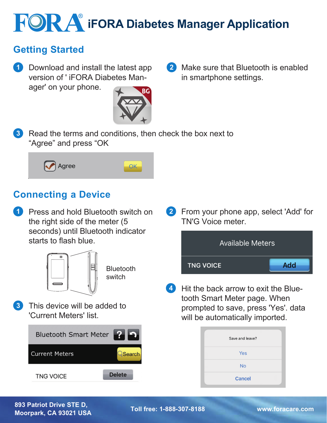# **iFORA iFORA** Diabetes Manager Application

## **Getting Started**

**1** Download and install the latest app version of ' iFORA Diabetes Manager' on your phone.



2 Make sure that Bluetooth is enabled in smartphone settings.

Read the terms and conditions, then check the box next to "Agree" and press "OK **3**



## **Connecting a Device**

**1** Press and hold Bluetooth switch on the right side of the meter (5 seconds) until Bluetooth indicator starts to flash blue.



**Bluetooth** switch

**3** This device will be added to 'Current Meters' list.

| Bluetooth Smart Meter 2 9 |               |
|---------------------------|---------------|
| <b>Current Meters</b>     | Search        |
| <b>TNG VOICE</b>          | <b>Delete</b> |

From your phone app, select 'Add' for **2** TN'G Voice meter.



4 Hit the back arrow to exit the Bluetooth Smart Meter page. When prompted to save, press 'Yes'. data will be automatically imported.

| Save and leave? |  |
|-----------------|--|
| Yes             |  |
| <b>No</b>       |  |
| <b>Cancel</b>   |  |

#### **893 Patriot Drive STE D, Moorpark, CA 93021 USA Toll free: 1-888-307-8188 www.foracare.com**